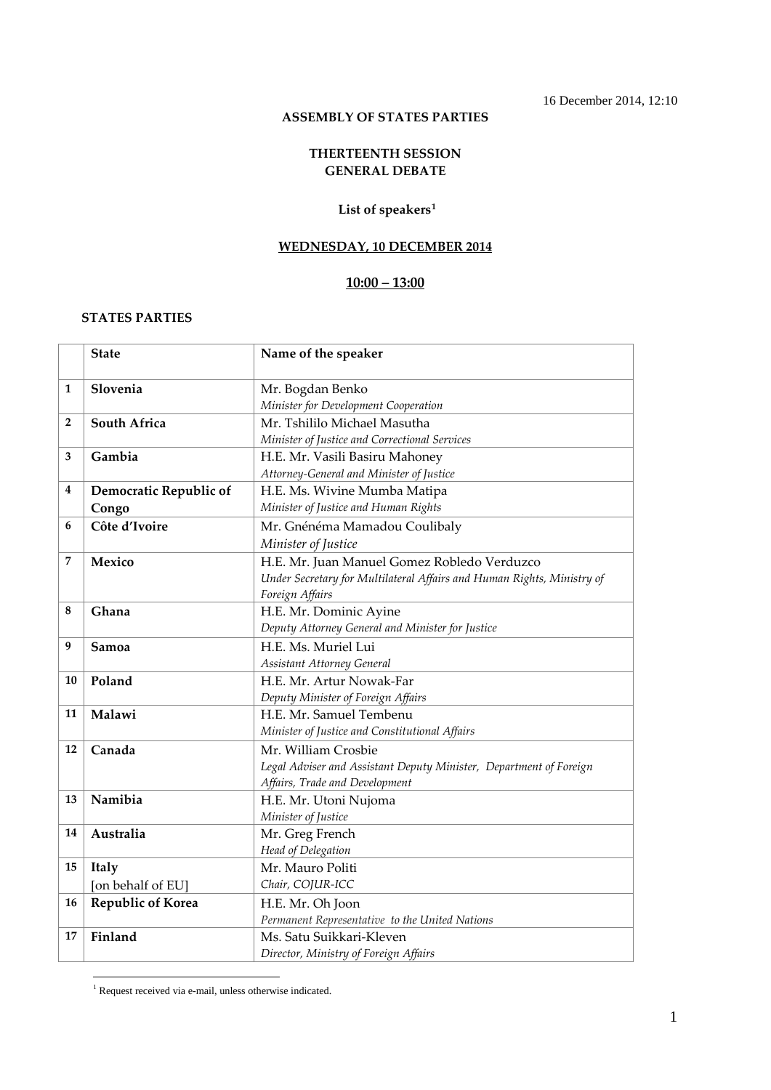### **ASSEMBLY OF STATES PARTIES**

#### **THERTEENTH SESSION GENERAL DEBATE**

#### **List of speakers[1](#page-0-0)**

#### **WEDNESDAY, 10 DECEMBER 2014**

## **10:00 – 13:00**

#### **STATES PARTIES**

|    | <b>State</b>             | Name of the speaker                                                    |
|----|--------------------------|------------------------------------------------------------------------|
| 1  | Slovenia                 | Mr. Bogdan Benko                                                       |
|    |                          | Minister for Development Cooperation                                   |
| 2  | <b>South Africa</b>      | Mr. Tshililo Michael Masutha                                           |
|    |                          | Minister of Justice and Correctional Services                          |
| 3  | Gambia                   | H.E. Mr. Vasili Basiru Mahoney                                         |
|    |                          | Attorney-General and Minister of Justice                               |
| 4  | Democratic Republic of   | H.E. Ms. Wivine Mumba Matipa                                           |
|    | Congo                    | Minister of Justice and Human Rights                                   |
| 6  | Côte d'Ivoire            | Mr. Gnénéma Mamadou Coulibaly                                          |
|    |                          | Minister of Justice                                                    |
| 7  | Mexico                   | H.E. Mr. Juan Manuel Gomez Robledo Verduzco                            |
|    |                          | Under Secretary for Multilateral Affairs and Human Rights, Ministry of |
|    |                          | Foreign Affairs                                                        |
| 8  | Ghana                    | H.E. Mr. Dominic Ayine                                                 |
|    |                          | Deputy Attorney General and Minister for Justice                       |
| 9  | Samoa                    | H.E. Ms. Muriel Lui                                                    |
|    |                          | Assistant Attorney General                                             |
| 10 | Poland                   | H.E. Mr. Artur Nowak-Far                                               |
|    |                          | Deputy Minister of Foreign Affairs                                     |
| 11 | Malawi                   | H.E. Mr. Samuel Tembenu                                                |
|    |                          | Minister of Justice and Constitutional Affairs                         |
| 12 | Canada                   | Mr. William Crosbie                                                    |
|    |                          | Legal Adviser and Assistant Deputy Minister, Department of Foreign     |
|    |                          | Affairs, Trade and Development                                         |
| 13 | Namibia                  | H.E. Mr. Utoni Nujoma                                                  |
|    |                          | Minister of Justice                                                    |
| 14 | Australia                | Mr. Greg French                                                        |
|    |                          | Head of Delegation                                                     |
| 15 | Italy                    | Mr. Mauro Politi                                                       |
|    | [on behalf of EU]        | Chair, COJUR-ICC                                                       |
| 16 | <b>Republic of Korea</b> | H.E. Mr. Oh Joon                                                       |
|    |                          | Permanent Representative to the United Nations                         |
| 17 | Finland                  | Ms. Satu Suikkari-Kleven                                               |
|    |                          | Director, Ministry of Foreign Affairs                                  |

<span id="page-0-0"></span> <sup>1</sup> Request received via e-mail, unless otherwise indicated.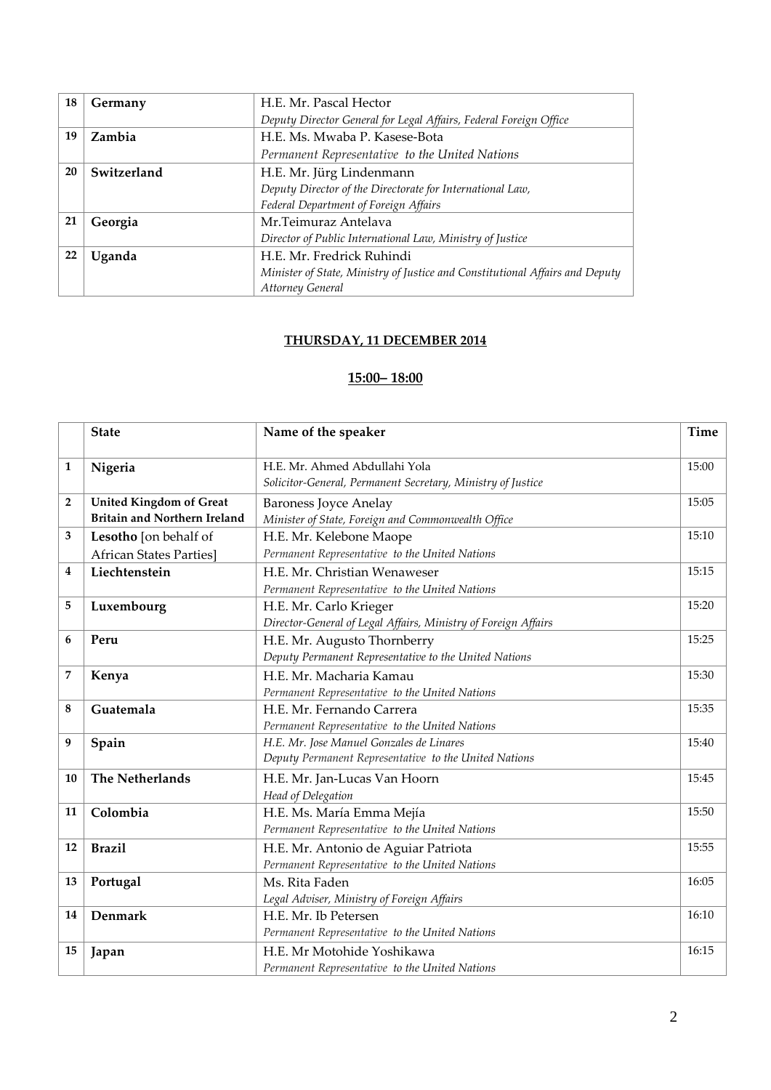| 18 | Germany     | H.E. Mr. Pascal Hector                                                       |
|----|-------------|------------------------------------------------------------------------------|
|    |             | Deputy Director General for Legal Affairs, Federal Foreign Office            |
| 19 | Zambia      | H.E. Ms. Mwaba P. Kasese-Bota                                                |
|    |             | Permanent Representative to the United Nations                               |
| 20 | Switzerland | H.E. Mr. Jürg Lindenmann                                                     |
|    |             | Deputy Director of the Directorate for International Law,                    |
|    |             | Federal Department of Foreign Affairs                                        |
| 21 | Georgia     | Mr. Teimuraz Antelava                                                        |
|    |             | Director of Public International Law, Ministry of Justice                    |
| 22 | Uganda      | H.E. Mr. Fredrick Ruhindi                                                    |
|    |             | Minister of State, Ministry of Justice and Constitutional Affairs and Deputy |
|    |             | Attorney General                                                             |

# **THURSDAY, 11 DECEMBER 2014**

# **15:00– 18:00**

|                | <b>State</b>                                                          | Name of the speaker                                                                               | <b>Time</b> |
|----------------|-----------------------------------------------------------------------|---------------------------------------------------------------------------------------------------|-------------|
| 1              | Nigeria                                                               | H.E. Mr. Ahmed Abdullahi Yola<br>Solicitor-General, Permanent Secretary, Ministry of Justice      | 15:00       |
| $\overline{2}$ | <b>United Kingdom of Great</b><br><b>Britain and Northern Ireland</b> | <b>Baroness Joyce Anelay</b><br>Minister of State, Foreign and Commonwealth Office                | 15:05       |
| 3              | Lesotho [on behalf of                                                 | H.E. Mr. Kelebone Maope                                                                           | 15:10       |
|                | <b>African States Parties</b> ]                                       | Permanent Representative to the United Nations                                                    |             |
| 4              | Liechtenstein                                                         | H.E. Mr. Christian Wenaweser<br>Permanent Representative to the United Nations                    | 15:15       |
| 5              | Luxembourg                                                            | H.E. Mr. Carlo Krieger<br>Director-General of Legal Affairs, Ministry of Foreign Affairs          | 15:20       |
| 6              | Peru                                                                  | H.E. Mr. Augusto Thornberry<br>Deputy Permanent Representative to the United Nations              | 15:25       |
| 7              | Kenya                                                                 | H.E. Mr. Macharia Kamau<br>Permanent Representative to the United Nations                         | 15:30       |
| 8              | Guatemala                                                             | H.E. Mr. Fernando Carrera<br>Permanent Representative to the United Nations                       | 15:35       |
| 9              | Spain                                                                 | H.E. Mr. Jose Manuel Gonzales de Linares<br>Deputy Permanent Representative to the United Nations | 15:40       |
| 10             | The Netherlands                                                       | H.E. Mr. Jan-Lucas Van Hoorn<br>Head of Delegation                                                | 15:45       |
| 11             | Colombia                                                              | H.E. Ms. María Emma Mejía<br>Permanent Representative to the United Nations                       | 15:50       |
| 12             | <b>Brazil</b>                                                         | H.E. Mr. Antonio de Aguiar Patriota<br>Permanent Representative to the United Nations             | 15:55       |
| 13             | Portugal                                                              | Ms. Rita Faden<br>Legal Adviser, Ministry of Foreign Affairs                                      | 16:05       |
| 14             | Denmark                                                               | H.E. Mr. Ib Petersen<br>Permanent Representative to the United Nations                            | 16:10       |
| 15             | Japan                                                                 | H.E. Mr Motohide Yoshikawa<br>Permanent Representative to the United Nations                      | 16:15       |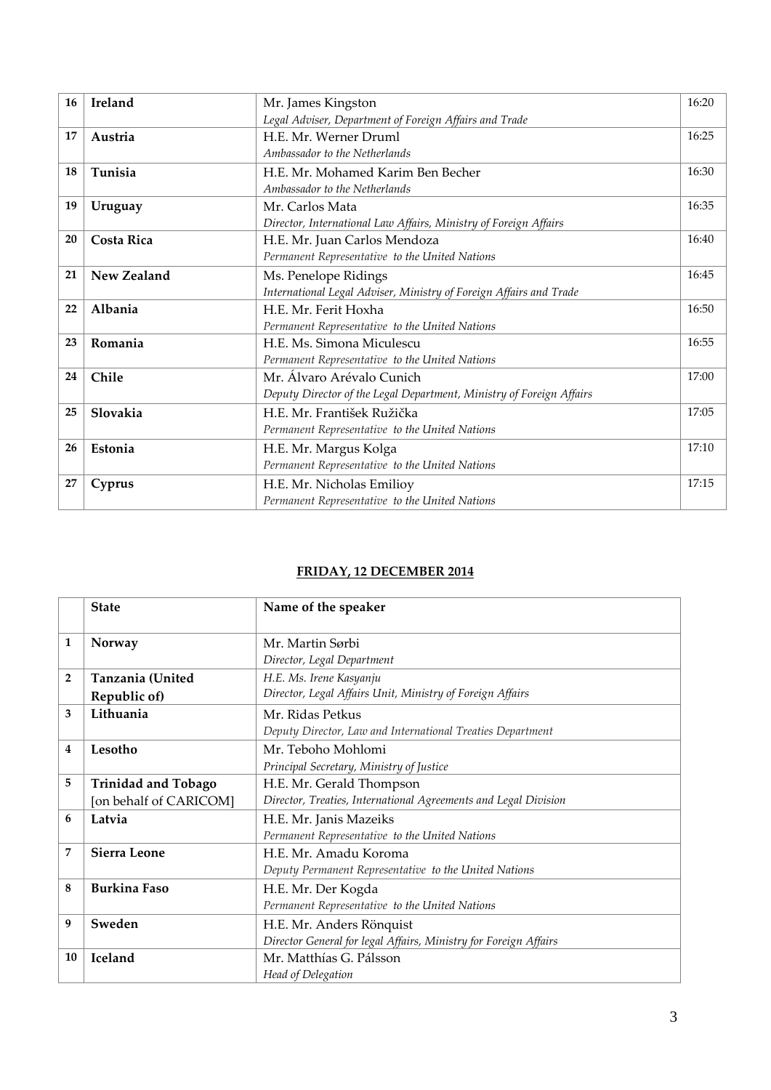| 16 | Ireland           | Mr. James Kingston                                                   | 16:20 |
|----|-------------------|----------------------------------------------------------------------|-------|
|    |                   | Legal Adviser, Department of Foreign Affairs and Trade               |       |
| 17 | Austria           | H.E. Mr. Werner Druml                                                | 16:25 |
|    |                   | Ambassador to the Netherlands                                        |       |
| 18 | Tunisia           | H.E. Mr. Mohamed Karim Ben Becher                                    | 16:30 |
|    |                   | Ambassador to the Netherlands                                        |       |
| 19 | Uruguay           | Mr. Carlos Mata                                                      | 16:35 |
|    |                   | Director, International Law Affairs, Ministry of Foreign Affairs     |       |
| 20 | <b>Costa Rica</b> | H.E. Mr. Juan Carlos Mendoza                                         | 16:40 |
|    |                   | Permanent Representative to the United Nations                       |       |
| 21 | New Zealand       | Ms. Penelope Ridings                                                 | 16:45 |
|    |                   | International Legal Adviser, Ministry of Foreign Affairs and Trade   |       |
| 22 | Albania           | H.E. Mr. Ferit Hoxha                                                 | 16:50 |
|    |                   | Permanent Representative to the United Nations                       |       |
| 23 | Romania           | H.E. Ms. Simona Miculescu                                            | 16:55 |
|    |                   | Permanent Representative to the United Nations                       |       |
| 24 | Chile             | Mr. Álvaro Arévalo Cunich                                            | 17:00 |
|    |                   | Deputy Director of the Legal Department, Ministry of Foreign Affairs |       |
| 25 | Slovakia          | H.E. Mr. František Ružička                                           | 17:05 |
|    |                   | Permanent Representative to the United Nations                       |       |
| 26 | Estonia           | H.E. Mr. Margus Kolga                                                | 17:10 |
|    |                   | Permanent Representative to the United Nations                       |       |
| 27 | Cyprus            | H.E. Mr. Nicholas Emilioy                                            | 17:15 |
|    |                   | Permanent Representative to the United Nations                       |       |

### **FRIDAY, 12 DECEMBER 2014**

|                | <b>State</b>               | Name of the speaker                                              |
|----------------|----------------------------|------------------------------------------------------------------|
| 1              | Norway                     | Mr. Martin Sørbi                                                 |
|                |                            | Director, Legal Department                                       |
| $\overline{2}$ | Tanzania (United           | H.E. Ms. Irene Kasyanju                                          |
|                | Republic of)               | Director, Legal Affairs Unit, Ministry of Foreign Affairs        |
| 3              | Lithuania                  | Mr. Ridas Petkus                                                 |
|                |                            | Deputy Director, Law and International Treaties Department       |
| 4              | Lesotho                    | Mr. Teboho Mohlomi                                               |
|                |                            | Principal Secretary, Ministry of Justice                         |
| 5              | <b>Trinidad and Tobago</b> | H.E. Mr. Gerald Thompson                                         |
|                | [on behalf of CARICOM]     | Director, Treaties, International Agreements and Legal Division  |
| 6              | Latvia                     | H.E. Mr. Janis Mazeiks                                           |
|                |                            | Permanent Representative to the United Nations                   |
| 7              | <b>Sierra Leone</b>        | H.E. Mr. Amadu Koroma                                            |
|                |                            | Deputy Permanent Representative to the United Nations            |
| 8              | <b>Burkina Faso</b>        | H.E. Mr. Der Kogda                                               |
|                |                            | Permanent Representative to the United Nations                   |
| 9              | Sweden                     | H.E. Mr. Anders Rönquist                                         |
|                |                            | Director General for legal Affairs, Ministry for Foreign Affairs |
| 10             | <b>Iceland</b>             | Mr. Matthías G. Pálsson                                          |
|                |                            | Head of Delegation                                               |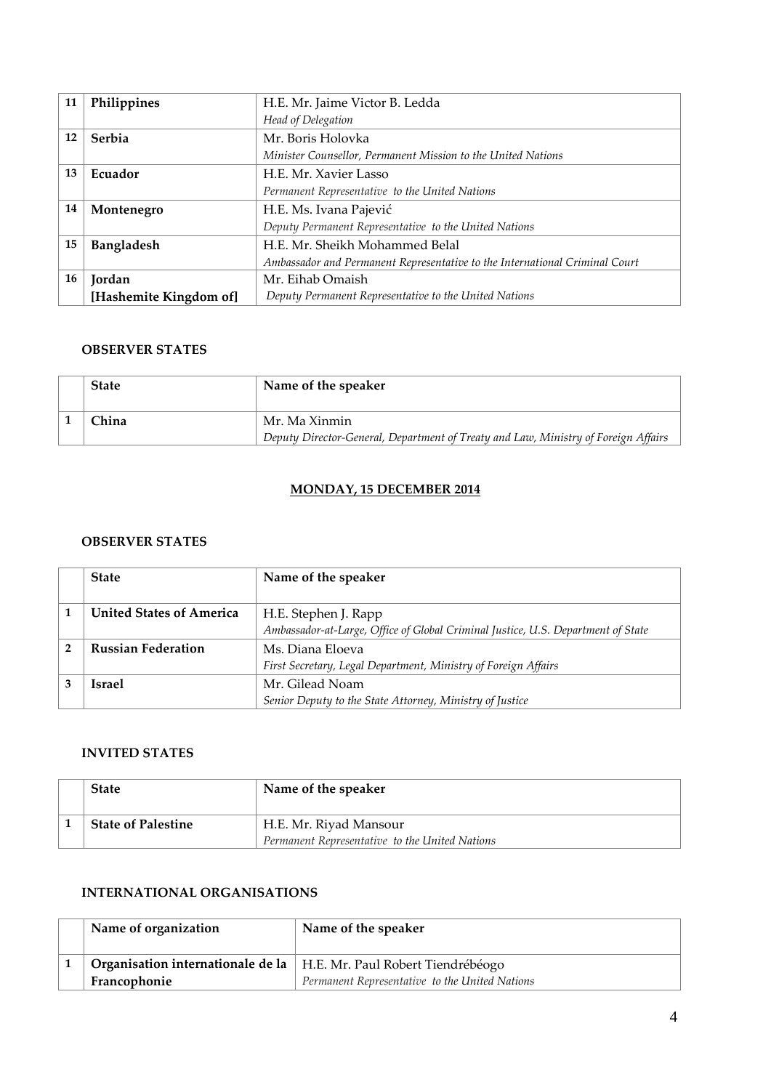| 11 | Philippines            | H.E. Mr. Jaime Victor B. Ledda                                              |
|----|------------------------|-----------------------------------------------------------------------------|
|    |                        | Head of Delegation                                                          |
| 12 | Serbia                 | Mr. Boris Holovka                                                           |
|    |                        | Minister Counsellor, Permanent Mission to the United Nations                |
| 13 | Ecuador                | H.E. Mr. Xavier Lasso                                                       |
|    |                        | Permanent Representative to the United Nations                              |
| 14 | Montenegro             | H.E. Ms. Ivana Pajević                                                      |
|    |                        | Deputy Permanent Representative to the United Nations                       |
| 15 | Bangladesh             | H.E. Mr. Sheikh Mohammed Belal                                              |
|    |                        | Ambassador and Permanent Representative to the International Criminal Court |
| 16 | Jordan                 | Mr. Eihab Omaish                                                            |
|    | [Hashemite Kingdom of] | Deputy Permanent Representative to the United Nations                       |

#### **OBSERVER STATES**

| <b>State</b> | Name of the speaker                                                                                 |
|--------------|-----------------------------------------------------------------------------------------------------|
| 7hina        | Mr. Ma Xinmin<br>Deputy Director-General, Department of Treaty and Law, Ministry of Foreign Affairs |

### **MONDAY, 15 DECEMBER 2014**

#### **OBSERVER STATES**

| <b>State</b>                    | Name of the speaker                                                              |
|---------------------------------|----------------------------------------------------------------------------------|
|                                 |                                                                                  |
| <b>United States of America</b> | H.E. Stephen J. Rapp                                                             |
|                                 | Ambassador-at-Large, Office of Global Criminal Justice, U.S. Department of State |
| <b>Russian Federation</b>       | Ms. Diana Eloeva                                                                 |
|                                 | First Secretary, Legal Department, Ministry of Foreign Affairs                   |
| Israel                          | Mr. Gilead Noam                                                                  |
|                                 | Senior Deputy to the State Attorney, Ministry of Justice                         |

#### **INVITED STATES**

| <b>State</b>              | Name of the speaker                                                      |
|---------------------------|--------------------------------------------------------------------------|
| <b>State of Palestine</b> | H.E. Mr. Riyad Mansour<br>Permanent Representative to the United Nations |

## **INTERNATIONAL ORGANISATIONS**

| Name of organization | Name of the speaker                                                   |
|----------------------|-----------------------------------------------------------------------|
|                      | Organisation internationale de la   H.E. Mr. Paul Robert Tiendrébéogo |
| Francophonie         | Permanent Representative to the United Nations                        |